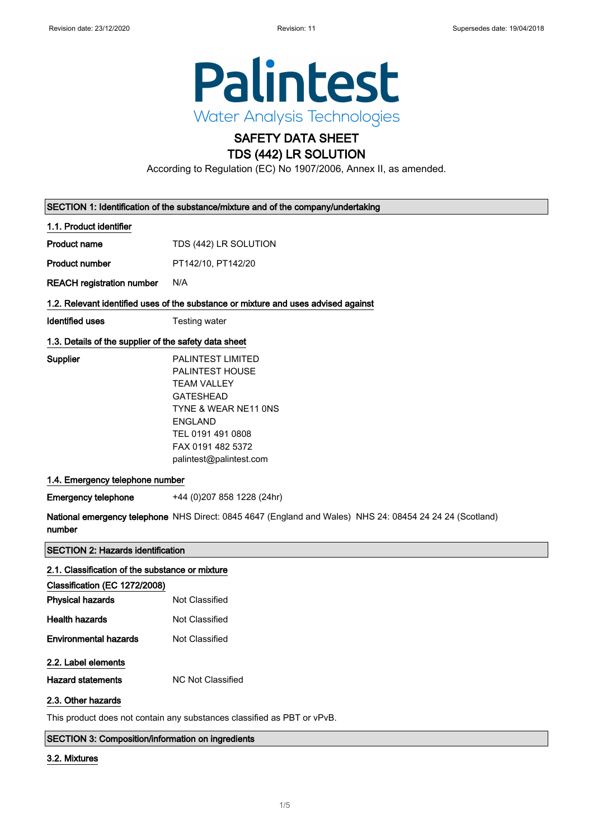

# SAFETY DATA SHEET TDS (442) LR SOLUTION

According to Regulation (EC) No 1907/2006, Annex II, as amended.

| SECTION 1: Identification of the substance/mixture and of the company/undertaking |  |
|-----------------------------------------------------------------------------------|--|
|-----------------------------------------------------------------------------------|--|

## 1.1. Product identifier

Product name TDS (442) LR SOLUTION

Product number PT142/10, PT142/20

REACH registration number N/A

## 1.2. Relevant identified uses of the substance or mixture and uses advised against

**Identified uses** Testing water

# 1.3. Details of the supplier of the safety data sheet

Supplier

| PAI INTEST I IMITED             |
|---------------------------------|
| PAI INTEST HOUSE                |
| TFAM VALLEY                     |
| GATFSHFAD                       |
| <b>TYNE &amp; WEAR NE11 ONS</b> |
| <b>FNGI AND</b>                 |
| TFL 0191 491 0808               |
| FAX 0191 482 5372               |
| palintest@palintest.com         |
|                                 |

### 1.4. Emergency telephone number

Emergency telephone +44 (0)207 858 1228 (24hr)

National emergency telephone NHS Direct: 0845 4647 (England and Wales) NHS 24: 08454 24 24 24 (Scotland) number

### SECTION 2: Hazards identification

| 2.1. Classification of the substance or mixture |                   |  |
|-------------------------------------------------|-------------------|--|
| Classification (EC 1272/2008)                   |                   |  |
| <b>Physical hazards</b>                         | Not Classified    |  |
| <b>Health hazards</b>                           | Not Classified    |  |
| <b>Environmental hazards</b>                    | Not Classified    |  |
| 2.2. Label elements                             |                   |  |
| <b>Hazard statements</b>                        | NC Not Classified |  |
| 2.3. Other hazards                              |                   |  |

This product does not contain any substances classified as PBT or vPvB.

# SECTION 3: Composition/information on ingredients

### 3.2. Mixtures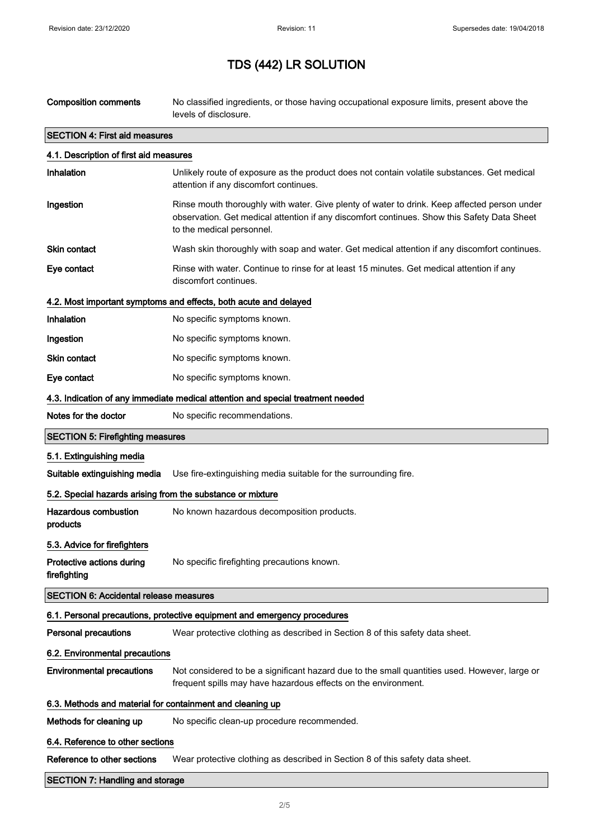| <b>Composition comments</b>                                | No classified ingredients, or those having occupational exposure limits, present above the<br>levels of disclosure.                                                                                                      |  |
|------------------------------------------------------------|--------------------------------------------------------------------------------------------------------------------------------------------------------------------------------------------------------------------------|--|
| <b>SECTION 4: First aid measures</b>                       |                                                                                                                                                                                                                          |  |
| 4.1. Description of first aid measures                     |                                                                                                                                                                                                                          |  |
| Inhalation                                                 | Unlikely route of exposure as the product does not contain volatile substances. Get medical<br>attention if any discomfort continues.                                                                                    |  |
| Ingestion                                                  | Rinse mouth thoroughly with water. Give plenty of water to drink. Keep affected person under<br>observation. Get medical attention if any discomfort continues. Show this Safety Data Sheet<br>to the medical personnel. |  |
| <b>Skin contact</b>                                        | Wash skin thoroughly with soap and water. Get medical attention if any discomfort continues.                                                                                                                             |  |
| Eye contact                                                | Rinse with water. Continue to rinse for at least 15 minutes. Get medical attention if any<br>discomfort continues.                                                                                                       |  |
|                                                            | 4.2. Most important symptoms and effects, both acute and delayed                                                                                                                                                         |  |
| Inhalation                                                 | No specific symptoms known.                                                                                                                                                                                              |  |
| Ingestion                                                  | No specific symptoms known.                                                                                                                                                                                              |  |
| <b>Skin contact</b>                                        | No specific symptoms known.                                                                                                                                                                                              |  |
| Eye contact                                                | No specific symptoms known.                                                                                                                                                                                              |  |
|                                                            | 4.3. Indication of any immediate medical attention and special treatment needed                                                                                                                                          |  |
| Notes for the doctor                                       | No specific recommendations.                                                                                                                                                                                             |  |
| <b>SECTION 5: Firefighting measures</b>                    |                                                                                                                                                                                                                          |  |
| 5.1. Extinguishing media                                   |                                                                                                                                                                                                                          |  |
| Suitable extinguishing media                               | Use fire-extinguishing media suitable for the surrounding fire.                                                                                                                                                          |  |
| 5.2. Special hazards arising from the substance or mixture |                                                                                                                                                                                                                          |  |
| <b>Hazardous combustion</b><br>products                    | No known hazardous decomposition products.                                                                                                                                                                               |  |
| 5.3. Advice for firefighters                               |                                                                                                                                                                                                                          |  |
| Protective actions during<br>firefighting                  | No specific firefighting precautions known.                                                                                                                                                                              |  |
| <b>SECTION 6: Accidental release measures</b>              |                                                                                                                                                                                                                          |  |
|                                                            | 6.1. Personal precautions, protective equipment and emergency procedures                                                                                                                                                 |  |
| <b>Personal precautions</b>                                | Wear protective clothing as described in Section 8 of this safety data sheet.                                                                                                                                            |  |
| 6.2. Environmental precautions                             |                                                                                                                                                                                                                          |  |
| <b>Environmental precautions</b>                           | Not considered to be a significant hazard due to the small quantities used. However, large or<br>frequent spills may have hazardous effects on the environment.                                                          |  |
| 6.3. Methods and material for containment and cleaning up  |                                                                                                                                                                                                                          |  |
| Methods for cleaning up                                    | No specific clean-up procedure recommended.                                                                                                                                                                              |  |
| 6.4. Reference to other sections                           |                                                                                                                                                                                                                          |  |
| Reference to other sections                                | Wear protective clothing as described in Section 8 of this safety data sheet.                                                                                                                                            |  |
| <b>SECTION 7: Handling and storage</b>                     |                                                                                                                                                                                                                          |  |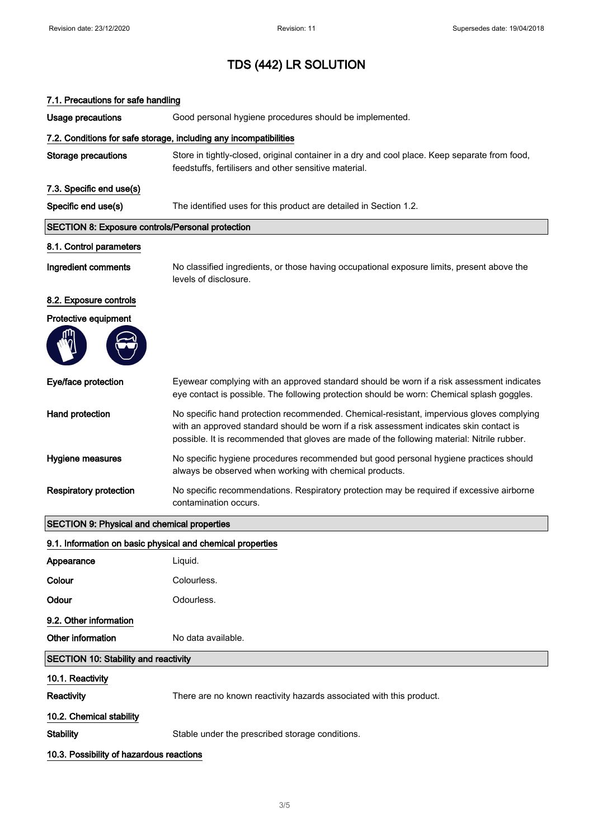| 7.1. Precautions for safe handling                         |                                                                                                                                                                                                                                                                                    |  |
|------------------------------------------------------------|------------------------------------------------------------------------------------------------------------------------------------------------------------------------------------------------------------------------------------------------------------------------------------|--|
| <b>Usage precautions</b>                                   | Good personal hygiene procedures should be implemented.                                                                                                                                                                                                                            |  |
|                                                            | 7.2. Conditions for safe storage, including any incompatibilities                                                                                                                                                                                                                  |  |
| <b>Storage precautions</b>                                 | Store in tightly-closed, original container in a dry and cool place. Keep separate from food,<br>feedstuffs, fertilisers and other sensitive material.                                                                                                                             |  |
| 7.3. Specific end use(s)                                   |                                                                                                                                                                                                                                                                                    |  |
| Specific end use(s)                                        | The identified uses for this product are detailed in Section 1.2.                                                                                                                                                                                                                  |  |
| <b>SECTION 8: Exposure controls/Personal protection</b>    |                                                                                                                                                                                                                                                                                    |  |
| 8.1. Control parameters                                    |                                                                                                                                                                                                                                                                                    |  |
| Ingredient comments                                        | No classified ingredients, or those having occupational exposure limits, present above the<br>levels of disclosure.                                                                                                                                                                |  |
| 8.2. Exposure controls                                     |                                                                                                                                                                                                                                                                                    |  |
| Protective equipment                                       |                                                                                                                                                                                                                                                                                    |  |
|                                                            |                                                                                                                                                                                                                                                                                    |  |
| Eye/face protection                                        | Eyewear complying with an approved standard should be worn if a risk assessment indicates<br>eye contact is possible. The following protection should be worn: Chemical splash goggles.                                                                                            |  |
| Hand protection                                            | No specific hand protection recommended. Chemical-resistant, impervious gloves complying<br>with an approved standard should be worn if a risk assessment indicates skin contact is<br>possible. It is recommended that gloves are made of the following material: Nitrile rubber. |  |
| Hygiene measures                                           | No specific hygiene procedures recommended but good personal hygiene practices should<br>always be observed when working with chemical products.                                                                                                                                   |  |
| <b>Respiratory protection</b>                              | No specific recommendations. Respiratory protection may be required if excessive airborne<br>contamination occurs.                                                                                                                                                                 |  |
| <b>SECTION 9: Physical and chemical properties</b>         |                                                                                                                                                                                                                                                                                    |  |
| 9.1. Information on basic physical and chemical properties |                                                                                                                                                                                                                                                                                    |  |
| Appearance                                                 | Liquid.                                                                                                                                                                                                                                                                            |  |
| Colour                                                     | Colourless.                                                                                                                                                                                                                                                                        |  |
| Odour                                                      | Odourless.                                                                                                                                                                                                                                                                         |  |
| 9.2. Other information                                     |                                                                                                                                                                                                                                                                                    |  |
| Other information                                          | No data available.                                                                                                                                                                                                                                                                 |  |
| <b>SECTION 10: Stability and reactivity</b>                |                                                                                                                                                                                                                                                                                    |  |
| 10.1. Reactivity                                           |                                                                                                                                                                                                                                                                                    |  |
| Reactivity                                                 | There are no known reactivity hazards associated with this product.                                                                                                                                                                                                                |  |
| 10.2. Chemical stability                                   |                                                                                                                                                                                                                                                                                    |  |
| <b>Stability</b>                                           | Stable under the prescribed storage conditions.                                                                                                                                                                                                                                    |  |
| 10.3. Possibility of hazardous reactions                   |                                                                                                                                                                                                                                                                                    |  |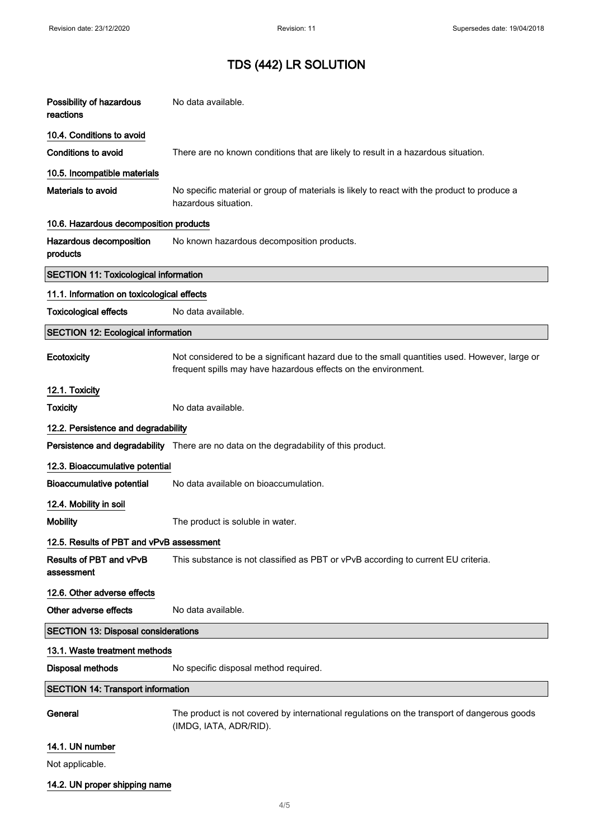| Possibility of hazardous<br>reactions        | No data available.                                                                                                                                              |
|----------------------------------------------|-----------------------------------------------------------------------------------------------------------------------------------------------------------------|
| 10.4. Conditions to avoid                    |                                                                                                                                                                 |
| <b>Conditions to avoid</b>                   | There are no known conditions that are likely to result in a hazardous situation.                                                                               |
| 10.5. Incompatible materials                 |                                                                                                                                                                 |
| Materials to avoid                           | No specific material or group of materials is likely to react with the product to produce a<br>hazardous situation.                                             |
| 10.6. Hazardous decomposition products       |                                                                                                                                                                 |
| Hazardous decomposition<br>products          | No known hazardous decomposition products.                                                                                                                      |
| <b>SECTION 11: Toxicological information</b> |                                                                                                                                                                 |
| 11.1. Information on toxicological effects   |                                                                                                                                                                 |
| <b>Toxicological effects</b>                 | No data available.                                                                                                                                              |
| <b>SECTION 12: Ecological information</b>    |                                                                                                                                                                 |
| Ecotoxicity                                  | Not considered to be a significant hazard due to the small quantities used. However, large or<br>frequent spills may have hazardous effects on the environment. |
| 12.1. Toxicity                               |                                                                                                                                                                 |
| <b>Toxicity</b>                              | No data available.                                                                                                                                              |
| 12.2. Persistence and degradability          |                                                                                                                                                                 |
|                                              | Persistence and degradability There are no data on the degradability of this product.                                                                           |
| 12.3. Bioaccumulative potential              |                                                                                                                                                                 |
| <b>Bioaccumulative potential</b>             | No data available on bioaccumulation.                                                                                                                           |
| 12.4. Mobility in soil                       |                                                                                                                                                                 |
| <b>Mobility</b>                              | The product is soluble in water.                                                                                                                                |
| 12.5. Results of PBT and vPvB assessment     |                                                                                                                                                                 |
| <b>Results of PBT and vPvB</b><br>assessment | This substance is not classified as PBT or vPvB according to current EU criteria.                                                                               |
| 12.6. Other adverse effects                  |                                                                                                                                                                 |
| Other adverse effects                        | No data available.                                                                                                                                              |
| <b>SECTION 13: Disposal considerations</b>   |                                                                                                                                                                 |
| 13.1. Waste treatment methods                |                                                                                                                                                                 |
| <b>Disposal methods</b>                      | No specific disposal method required.                                                                                                                           |
| <b>SECTION 14: Transport information</b>     |                                                                                                                                                                 |
| General                                      | The product is not covered by international regulations on the transport of dangerous goods<br>(IMDG, IATA, ADR/RID).                                           |
| 14.1. UN number                              |                                                                                                                                                                 |

Not applicable.

14.2. UN proper shipping name